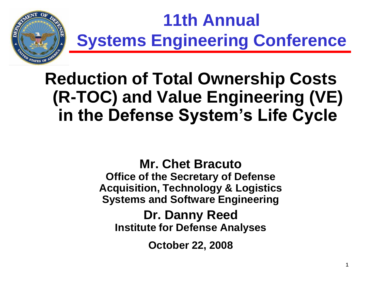

# **11th Annual Systems Engineering Conference**

### **Reduction of Total Ownership Costs (R-TOC) and Value Engineering (VE) in the Defense System's Life Cycle**

**Mr. Chet Bracuto Office of the Secretary of Defense Acquisition, Technology & Logistics Systems and Software Engineering**

**Dr. Danny Reed Institute for Defense Analyses**

**October 22, 2008**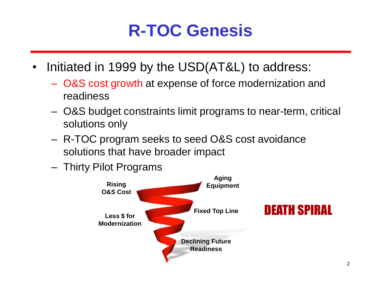### **R-TOC Genesis**

- Initiated in 1999 by the USD(AT&L) to address:
	- O&S cost growth at expense of force modernization and readiness
	- O&S budget constraints limit programs to near-term, critical solutions only
	- R-TOC program seeks to seed O&S cost avoidance solutions that have broader impact
	- Thirty Pilot Programs

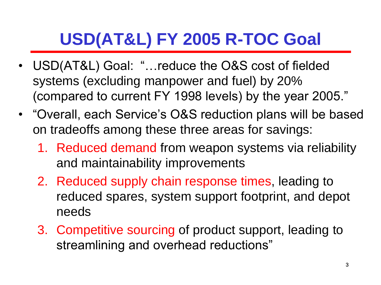# **USD(AT&L) FY 2005 R-TOC Goal**

- USD(AT&L) Goal: "…reduce the O&S cost of fielded systems (excluding manpower and fuel) by 20% (compared to current FY 1998 levels) by the year 2005."
- "Overall, each Service's O&S reduction plans will be based on tradeoffs among these three areas for savings:
	- 1. Reduced demand from weapon systems via reliability and maintainability improvements
	- 2. Reduced supply chain response times, leading to reduced spares, system support footprint, and depot needs
	- 3. Competitive sourcing of product support, leading to streamlining and overhead reductions"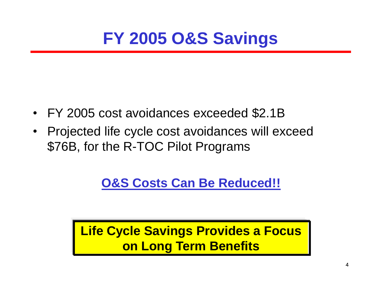### **FY 2005 O&S Savings**

- FY 2005 cost avoidances exceeded \$2.1B
- Projected life cycle cost avoidances will exceed \$76B, for the R-TOC Pilot Programs

### **O&S Costs Can Be Reduced!!**

**Life Cycle Savings Provides a Focus on Long Term Benefits**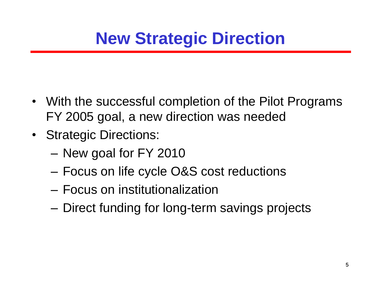- With the successful completion of the Pilot Programs FY 2005 goal, a new direction was needed
- Strategic Directions:
	- New goal for FY 2010
	- Focus on life cycle O&S cost reductions
	- Focus on institutionalization
	- Direct funding for long-term savings projects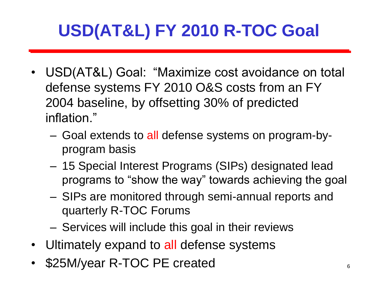# **USD(AT&L) FY 2010 R-TOC Goal**

- USD(AT&L) Goal: "Maximize cost avoidance on total defense systems FY 2010 O&S costs from an FY 2004 baseline, by offsetting 30% of predicted inflation."
	- Goal extends to all defense systems on program-byprogram basis
	- 15 Special Interest Programs (SIPs) designated lead programs to "show the way" towards achieving the goal
	- SIPs are monitored through semi-annual reports and quarterly R-TOC Forums
	- Services will include this goal in their reviews
- Ultimately expand to all defense systems
- \$25M/year R-TOC PE created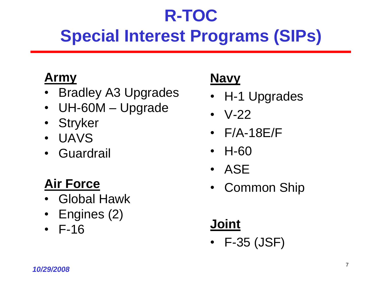# **R-TOC Special Interest Programs (SIPs)**

### **Army**

- Bradley A3 Upgrades
- UH-60M Upgrade
- Stryker
- UAVS
- Guardrail

### **Air Force**

- Global Hawk
- Engines (2)
- F-16

### **Navy**

- H-1 Upgrades
- V-22
- F/A-18E/F
- H-60
- ASE
- Common Ship

### **Joint**

• F-35 (JSF)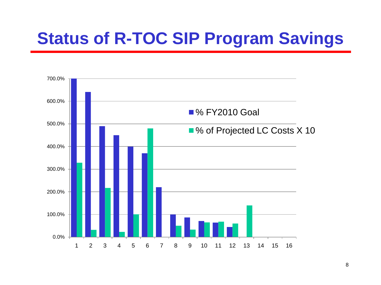### **Status of R-TOC SIP Program Savings**

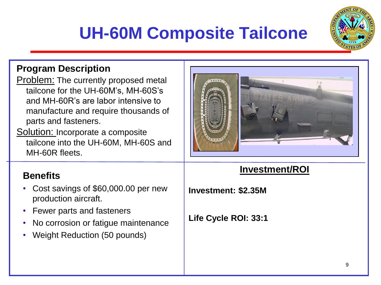# **UH-60M Composite Tailcone**



#### **Program Description**

- Problem: The currently proposed metal tailcone for the UH-60M's, MH-60S's and MH-60R's are labor intensive to manufacture and require thousands of parts and fasteners.
- Solution: Incorporate a composite tailcone into the UH-60M, MH-60S and MH-60R fleets.

- Cost savings of \$60,000.00 per new production aircraft.
- Fewer parts and fasteners
- No corrosion or fatigue maintenance
- Weight Reduction (50 pounds)



#### **Investment/ROI Benefits**

**Investment: \$2.35M**

**Life Cycle ROI: 33:1**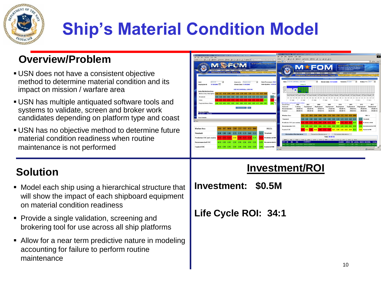

# **Ship's Material Condition Model**

#### **Overview/Problem**

- USN does not have a consistent objective method to determine material condition and its impact on mission / warfare area
- USN has multiple antiquated software tools and systems to validate, screen and broker work candidates depending on platform type and coast
- USN has no objective method to determine future material condition readiness when routine maintenance is not performed

#### **Solution**

- Model each ship using a hierarchical structure that will show the impact of each shipboard equipment on material condition readiness
- **Provide a single validation, screening and** brokering tool for use across all ship platforms
- Allow for a near term predictive nature in modeling accounting for failure to perform routine maintenance



#### **Investment/ROI**

**Investment: \$0.5M** 

**Life Cycle ROI: 34:1**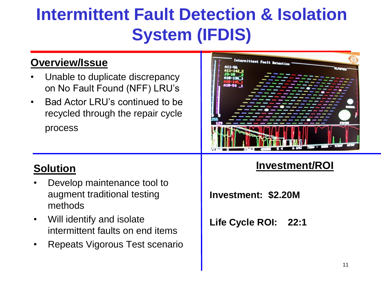# **Intermittent Fault Detection & Isolation System (IFDIS)**

#### **Overview/Issue**

- Unable to duplicate discrepancy on No Fault Found (NFF) LRU's
- Bad Actor LRU's continued to be recycled through the repair cycle process

#### **Solution**

- Develop maintenance tool to augment traditional testing methods
- Will identify and isolate intermittent faults on end items
- Repeats Vigorous Test scenario

Internittent Pault Betectic

#### **Investment/ROI**

**Investment: \$2.20M**

**Life Cycle ROI: 22:1**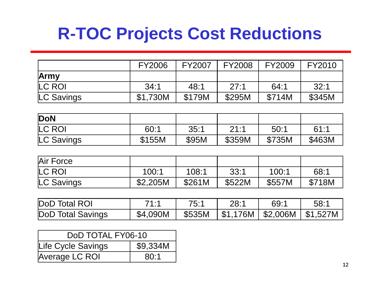### **R-TOC Projects Cost Reductions**

|            | <b>FY2006</b> | <b>FY2007</b> | <b>FY2008</b> | <b>FY2009</b> | FY2010 |
|------------|---------------|---------------|---------------|---------------|--------|
| Army       |               |               |               |               |        |
| LC ROI     | 34:1          | 48:1          | 27:1          | 64:1          | 32:1   |
| LC Savings | \$1,730M      | \$179M        | \$295M        | \$714M        | \$345M |

| DoN        |        |       |        |        |        |
|------------|--------|-------|--------|--------|--------|
| LC ROI     | 60:1   | 35:1  | 21.1   | 50:1   | 61:1   |
| LC Savings | \$155M | \$95M | \$359M | \$735M | \$463M |

| Air Force  |          |        |        |        |        |
|------------|----------|--------|--------|--------|--------|
| LC ROI     | 100:1    | 108:1  | 33:1   | 100:1  | 68:1   |
| LC Savings | \$2,205M | \$261M | \$522M | \$557M | \$718M |

| DoD Total ROI     | 71:1                                                | 75:1 | 28:1 | 69:1 | 58:1 |
|-------------------|-----------------------------------------------------|------|------|------|------|
| DoD Total Savings | $$4,090M$   \$535M   \$1,176M   \$2,006M   \$1,527M |      |      |      |      |

| DoD TOTAL FY06-10  |          |  |  |  |
|--------------------|----------|--|--|--|
| Life Cycle Savings | \$9,334M |  |  |  |
| Average LC ROI     | 80:1     |  |  |  |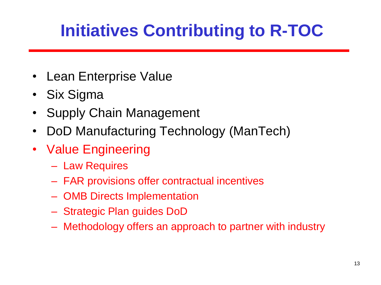# **Initiatives Contributing to R-TOC**

- Lean Enterprise Value
- Six Sigma
- Supply Chain Management
- DoD Manufacturing Technology (ManTech)
- Value Engineering
	- Law Requires
	- FAR provisions offer contractual incentives
	- OMB Directs Implementation
	- Strategic Plan guides DoD
	- Methodology offers an approach to partner with industry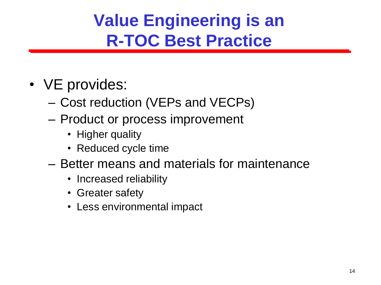# **Value Engineering is an R-TOC Best Practice**

- VE provides:
	- Cost reduction (VEPs and VECPs)
	- Product or process improvement
		- Higher quality
		- Reduced cycle time
	- Better means and materials for maintenance
		- Increased reliability
		- Greater safety
		- Less environmental impact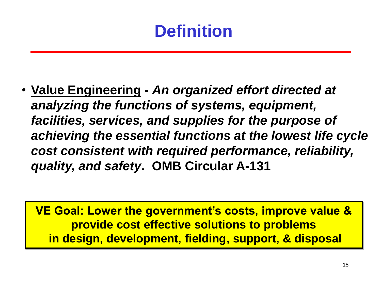### **Definition**

• **Value Engineering -** *An organized effort directed at analyzing the functions of systems, equipment, facilities, services, and supplies for the purpose of achieving the essential functions at the lowest life cycle cost consistent with required performance, reliability, quality, and safety***. OMB Circular A-131**

**VE Goal: Lower the government's costs, improve value & provide cost effective solutions to problems in design, development, fielding, support, & disposal**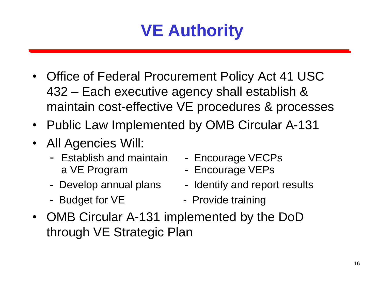### **VE Authority**

- Office of Federal Procurement Policy Act 41 USC 432 – Each executive agency shall establish & maintain cost-effective VE procedures & processes
- Public Law Implemented by OMB Circular A-131
- All Agencies Will:
	- Establish and maintain Encourage VECPs a VE Program - Encourage VEPs
	-
	-
- 
- 
- Develop annual plans Identify and report results
- Budget for VE Provide training
- OMB Circular A-131 implemented by the DoD through VE Strategic Plan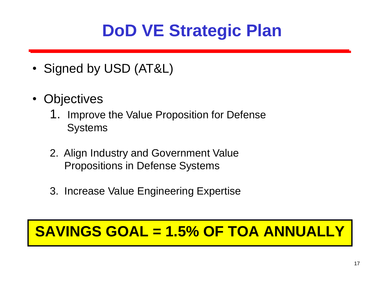### **DoD VE Strategic Plan**

- Signed by USD (AT&L)
- Objectives
	- 1. Improve the Value Proposition for Defense **Systems**
	- 2. Align Industry and Government Value Propositions in Defense Systems
	- 3. Increase Value Engineering Expertise

### **SAVINGS GOAL = 1.5% OF TOA ANNUALLY**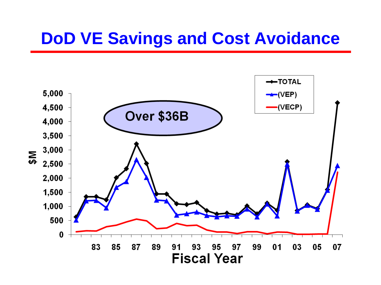### **DoD VE Savings and Cost Avoidance**

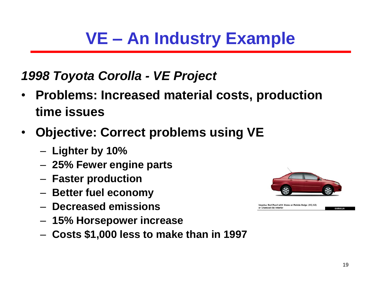### **VE – An Industry Example**

### *1998 Toyota Corolla - VE Project*

- **Problems: Increased material costs, production time issues**
- **Objective: Correct problems using VE**
	- **Lighter by 10%**
	- **25% Fewer engine parts**
	- **Faster production**
	- **Better fuel economy**
	- **Decreased emissions**
	- **15% Horsepower increase**
	- **Costs \$1,000 less to make than in 1997**



Impulse Red Pearl with Stone or Pebble Beige (CE/LE) or Charcoal (S) Interior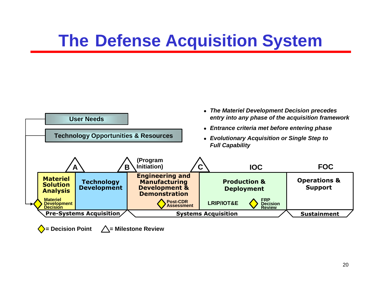### **The Defense Acquisition System**



 $\sum$  **= Decision Point**   $\bigwedge$  = Milestone Review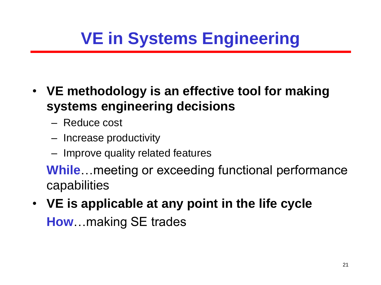# **VE in Systems Engineering**

- **VE methodology is an effective tool for making systems engineering decisions**
	- Reduce cost
	- Increase productivity
	- Improve quality related features

**While**…meeting or exceeding functional performance capabilities

• **VE is applicable at any point in the life cycle How**…making SE trades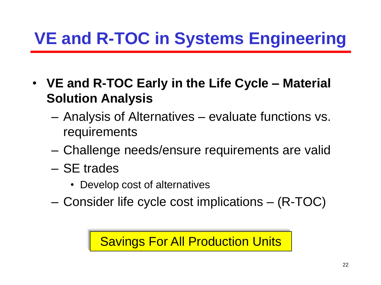- **VE and R-TOC Early in the Life Cycle – Material Solution Analysis**
	- Analysis of Alternatives evaluate functions vs. requirements
	- Challenge needs/ensure requirements are valid
	- SE trades
		- Develop cost of alternatives
	- Consider life cycle cost implications (R-TOC)

Savings For All Production Units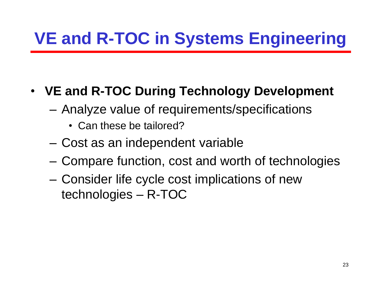### • **VE and R-TOC During Technology Development**

- Analyze value of requirements/specifications
	- Can these be tailored?
- Cost as an independent variable
- Compare function, cost and worth of technologies
- Consider life cycle cost implications of new technologies – R-TOC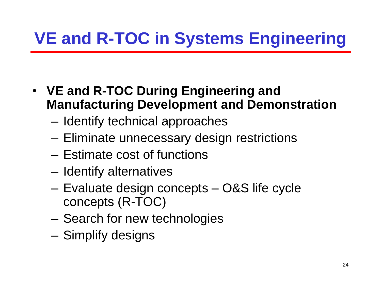- **VE and R-TOC During Engineering and Manufacturing Development and Demonstration**
	- Identify technical approaches
	- Eliminate unnecessary design restrictions
	- Estimate cost of functions
	- Identify alternatives
	- Evaluate design concepts O&S life cycle concepts (R-TOC)
	- Search for new technologies
	- Simplify designs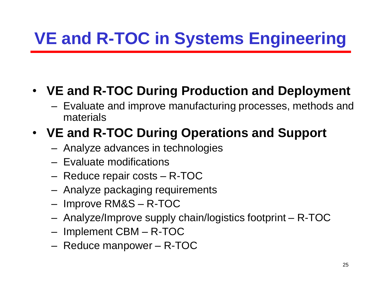### • **VE and R-TOC During Production and Deployment**

– Evaluate and improve manufacturing processes, methods and materials

### • **VE and R-TOC During Operations and Support**

- Analyze advances in technologies
- Evaluate modifications
- Reduce repair costs R-TOC
- Analyze packaging requirements
- Improve RM&S R-TOC
- Analyze/Improve supply chain/logistics footprint R-TOC
- Implement CBM R-TOC
- Reduce manpower R-TOC